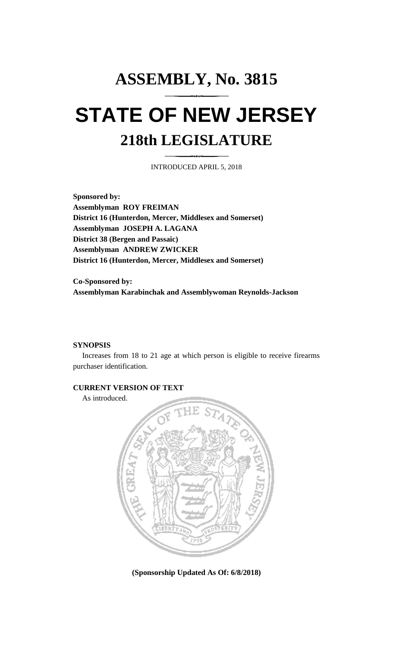## **ASSEMBLY, No. 3815 STATE OF NEW JERSEY 218th LEGISLATURE**

INTRODUCED APRIL 5, 2018

**Sponsored by: Assemblyman ROY FREIMAN District 16 (Hunterdon, Mercer, Middlesex and Somerset) Assemblyman JOSEPH A. LAGANA District 38 (Bergen and Passaic) Assemblyman ANDREW ZWICKER District 16 (Hunterdon, Mercer, Middlesex and Somerset)**

**Co-Sponsored by: Assemblyman Karabinchak and Assemblywoman Reynolds-Jackson**

## **SYNOPSIS**

Increases from 18 to 21 age at which person is eligible to receive firearms purchaser identification.

## **CURRENT VERSION OF TEXT**

As introduced.



**(Sponsorship Updated As Of: 6/8/2018)**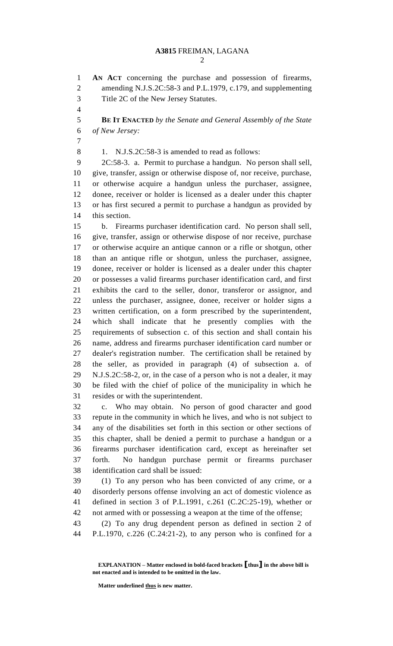**AN ACT** concerning the purchase and possession of firearms, amending N.J.S.2C:58-3 and P.L.1979, c.179, and supplementing Title 2C of the New Jersey Statutes.

 **BE IT ENACTED** *by the Senate and General Assembly of the State of New Jersey:*

8 1. N.J.S.2C:58-3 is amended to read as follows:

 2C:58-3. a. Permit to purchase a handgun. No person shall sell, give, transfer, assign or otherwise dispose of, nor receive, purchase, or otherwise acquire a handgun unless the purchaser, assignee, donee, receiver or holder is licensed as a dealer under this chapter or has first secured a permit to purchase a handgun as provided by this section.

 b. Firearms purchaser identification card. No person shall sell, give, transfer, assign or otherwise dispose of nor receive, purchase or otherwise acquire an antique cannon or a rifle or shotgun, other than an antique rifle or shotgun, unless the purchaser, assignee, donee, receiver or holder is licensed as a dealer under this chapter or possesses a valid firearms purchaser identification card, and first exhibits the card to the seller, donor, transferor or assignor, and unless the purchaser, assignee, donee, receiver or holder signs a written certification, on a form prescribed by the superintendent, which shall indicate that he presently complies with the requirements of subsection c. of this section and shall contain his name, address and firearms purchaser identification card number or dealer's registration number. The certification shall be retained by the seller, as provided in paragraph (4) of subsection a. of N.J.S.2C:58-2, or, in the case of a person who is not a dealer, it may be filed with the chief of police of the municipality in which he resides or with the superintendent.

 c. Who may obtain. No person of good character and good repute in the community in which he lives, and who is not subject to any of the disabilities set forth in this section or other sections of this chapter, shall be denied a permit to purchase a handgun or a firearms purchaser identification card, except as hereinafter set forth. No handgun purchase permit or firearms purchaser identification card shall be issued:

 (1) To any person who has been convicted of any crime, or a disorderly persons offense involving an act of domestic violence as defined in section 3 of P.L.1991, c.261 (C.2C:25-19), whether or not armed with or possessing a weapon at the time of the offense;

 (2) To any drug dependent person as defined in section 2 of P.L.1970, c.226 (C.24:21-2), to any person who is confined for a

**Matter underlined thus is new matter.**

**EXPLANATION – Matter enclosed in bold-faced brackets [thus] in the above bill is not enacted and is intended to be omitted in the law.**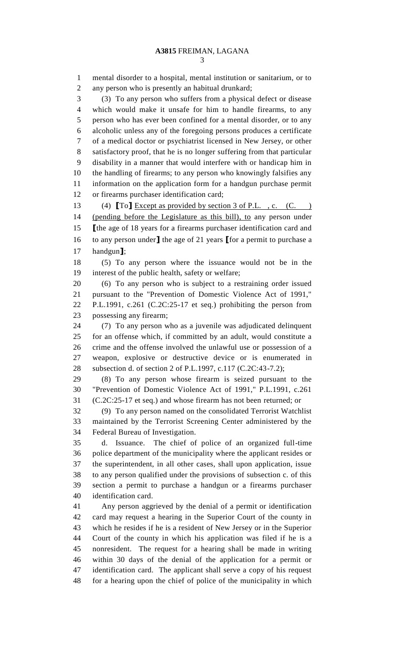mental disorder to a hospital, mental institution or sanitarium, or to any person who is presently an habitual drunkard; (3) To any person who suffers from a physical defect or disease which would make it unsafe for him to handle firearms, to any person who has ever been confined for a mental disorder, or to any alcoholic unless any of the foregoing persons produces a certificate of a medical doctor or psychiatrist licensed in New Jersey, or other satisfactory proof, that he is no longer suffering from that particular disability in a manner that would interfere with or handicap him in the handling of firearms; to any person who knowingly falsifies any information on the application form for a handgun purchase permit or firearms purchaser identification card; (4) **[**To**]** Except as provided by section 3 of P.L. , c. (C. ) (pending before the Legislature as this bill), to any person under **[**the age of 18 years for a firearms purchaser identification card and to any person under**]** the age of 21 years **[**for a permit to purchase a handgun**]**; (5) To any person where the issuance would not be in the interest of the public health, safety or welfare; (6) To any person who is subject to a restraining order issued pursuant to the "Prevention of Domestic Violence Act of 1991," P.L.1991, c.261 (C.2C:25-17 et seq.) prohibiting the person from possessing any firearm; (7) To any person who as a juvenile was adjudicated delinquent for an offense which, if committed by an adult, would constitute a crime and the offense involved the unlawful use or possession of a weapon, explosive or destructive device or is enumerated in subsection d. of section 2 of P.L.1997, c.117 (C.2C:43-7.2); (8) To any person whose firearm is seized pursuant to the "Prevention of Domestic Violence Act of 1991," P.L.1991, c.261 (C.2C:25-17 et seq.) and whose firearm has not been returned; or (9) To any person named on the consolidated Terrorist Watchlist maintained by the Terrorist Screening Center administered by the Federal Bureau of Investigation. d. Issuance. The chief of police of an organized full-time police department of the municipality where the applicant resides or the superintendent, in all other cases, shall upon application, issue to any person qualified under the provisions of subsection c. of this section a permit to purchase a handgun or a firearms purchaser identification card. Any person aggrieved by the denial of a permit or identification card may request a hearing in the Superior Court of the county in which he resides if he is a resident of New Jersey or in the Superior Court of the county in which his application was filed if he is a nonresident. The request for a hearing shall be made in writing within 30 days of the denial of the application for a permit or identification card. The applicant shall serve a copy of his request for a hearing upon the chief of police of the municipality in which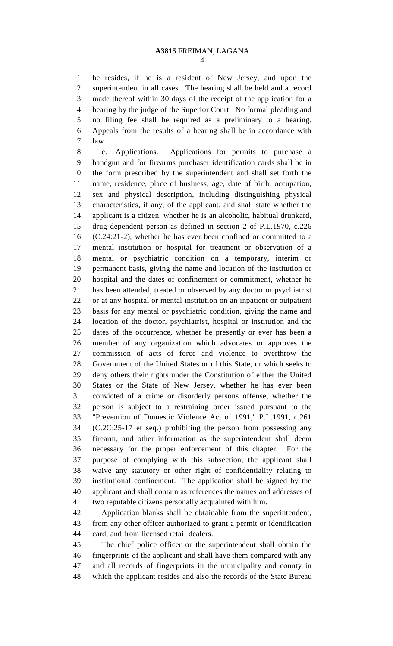he resides, if he is a resident of New Jersey, and upon the superintendent in all cases. The hearing shall be held and a record made thereof within 30 days of the receipt of the application for a hearing by the judge of the Superior Court. No formal pleading and no filing fee shall be required as a preliminary to a hearing. Appeals from the results of a hearing shall be in accordance with law.

 e. Applications. Applications for permits to purchase a handgun and for firearms purchaser identification cards shall be in the form prescribed by the superintendent and shall set forth the name, residence, place of business, age, date of birth, occupation, sex and physical description, including distinguishing physical characteristics, if any, of the applicant, and shall state whether the applicant is a citizen, whether he is an alcoholic, habitual drunkard, drug dependent person as defined in section 2 of P.L.1970, c.226 (C.24:21-2), whether he has ever been confined or committed to a mental institution or hospital for treatment or observation of a mental or psychiatric condition on a temporary, interim or permanent basis, giving the name and location of the institution or hospital and the dates of confinement or commitment, whether he has been attended, treated or observed by any doctor or psychiatrist or at any hospital or mental institution on an inpatient or outpatient basis for any mental or psychiatric condition, giving the name and location of the doctor, psychiatrist, hospital or institution and the dates of the occurrence, whether he presently or ever has been a member of any organization which advocates or approves the commission of acts of force and violence to overthrow the Government of the United States or of this State, or which seeks to deny others their rights under the Constitution of either the United States or the State of New Jersey, whether he has ever been convicted of a crime or disorderly persons offense, whether the person is subject to a restraining order issued pursuant to the "Prevention of Domestic Violence Act of 1991," P.L.1991, c.261 (C.2C:25-17 et seq.) prohibiting the person from possessing any firearm, and other information as the superintendent shall deem necessary for the proper enforcement of this chapter. For the purpose of complying with this subsection, the applicant shall waive any statutory or other right of confidentiality relating to institutional confinement. The application shall be signed by the applicant and shall contain as references the names and addresses of two reputable citizens personally acquainted with him.

 Application blanks shall be obtainable from the superintendent, from any other officer authorized to grant a permit or identification card, and from licensed retail dealers.

 The chief police officer or the superintendent shall obtain the fingerprints of the applicant and shall have them compared with any and all records of fingerprints in the municipality and county in which the applicant resides and also the records of the State Bureau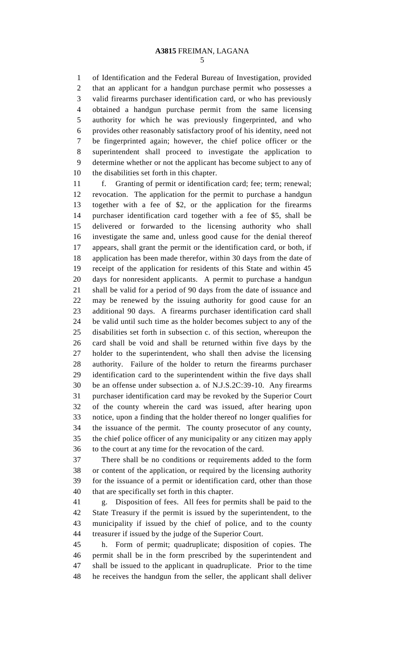of Identification and the Federal Bureau of Investigation, provided that an applicant for a handgun purchase permit who possesses a valid firearms purchaser identification card, or who has previously obtained a handgun purchase permit from the same licensing authority for which he was previously fingerprinted, and who provides other reasonably satisfactory proof of his identity, need not be fingerprinted again; however, the chief police officer or the superintendent shall proceed to investigate the application to determine whether or not the applicant has become subject to any of the disabilities set forth in this chapter.

 f. Granting of permit or identification card; fee; term; renewal; revocation. The application for the permit to purchase a handgun together with a fee of \$2, or the application for the firearms purchaser identification card together with a fee of \$5, shall be delivered or forwarded to the licensing authority who shall investigate the same and, unless good cause for the denial thereof appears, shall grant the permit or the identification card, or both, if application has been made therefor, within 30 days from the date of receipt of the application for residents of this State and within 45 days for nonresident applicants. A permit to purchase a handgun shall be valid for a period of 90 days from the date of issuance and may be renewed by the issuing authority for good cause for an additional 90 days. A firearms purchaser identification card shall be valid until such time as the holder becomes subject to any of the disabilities set forth in subsection c. of this section, whereupon the card shall be void and shall be returned within five days by the holder to the superintendent, who shall then advise the licensing authority. Failure of the holder to return the firearms purchaser identification card to the superintendent within the five days shall be an offense under subsection a. of N.J.S.2C:39-10. Any firearms purchaser identification card may be revoked by the Superior Court of the county wherein the card was issued, after hearing upon notice, upon a finding that the holder thereof no longer qualifies for the issuance of the permit. The county prosecutor of any county, the chief police officer of any municipality or any citizen may apply to the court at any time for the revocation of the card.

 There shall be no conditions or requirements added to the form or content of the application, or required by the licensing authority for the issuance of a permit or identification card, other than those that are specifically set forth in this chapter.

 g. Disposition of fees. All fees for permits shall be paid to the State Treasury if the permit is issued by the superintendent, to the municipality if issued by the chief of police, and to the county treasurer if issued by the judge of the Superior Court.

 h. Form of permit; quadruplicate; disposition of copies. The permit shall be in the form prescribed by the superintendent and shall be issued to the applicant in quadruplicate. Prior to the time he receives the handgun from the seller, the applicant shall deliver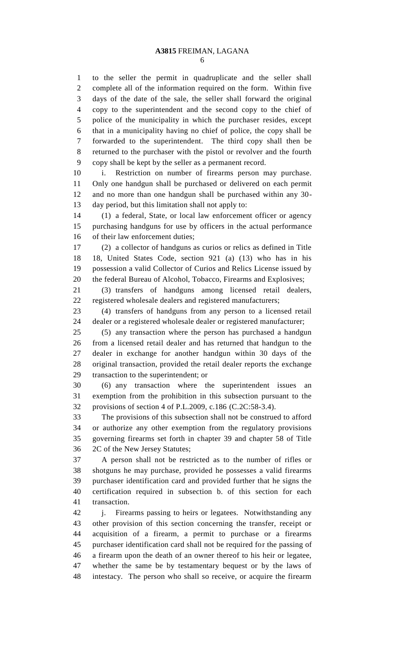to the seller the permit in quadruplicate and the seller shall complete all of the information required on the form. Within five days of the date of the sale, the seller shall forward the original copy to the superintendent and the second copy to the chief of police of the municipality in which the purchaser resides, except that in a municipality having no chief of police, the copy shall be forwarded to the superintendent. The third copy shall then be returned to the purchaser with the pistol or revolver and the fourth copy shall be kept by the seller as a permanent record.

 i. Restriction on number of firearms person may purchase. Only one handgun shall be purchased or delivered on each permit and no more than one handgun shall be purchased within any 30- day period, but this limitation shall not apply to:

 (1) a federal, State, or local law enforcement officer or agency purchasing handguns for use by officers in the actual performance of their law enforcement duties;

 (2) a collector of handguns as curios or relics as defined in Title 18, United States Code, section 921 (a) (13) who has in his possession a valid Collector of Curios and Relics License issued by the federal Bureau of Alcohol, Tobacco, Firearms and Explosives;

 (3) transfers of handguns among licensed retail dealers, registered wholesale dealers and registered manufacturers;

 (4) transfers of handguns from any person to a licensed retail dealer or a registered wholesale dealer or registered manufacturer;

 (5) any transaction where the person has purchased a handgun from a licensed retail dealer and has returned that handgun to the dealer in exchange for another handgun within 30 days of the original transaction, provided the retail dealer reports the exchange transaction to the superintendent; or

 (6) any transaction where the superintendent issues an exemption from the prohibition in this subsection pursuant to the provisions of section 4 of P.L.2009, c.186 (C.2C:58-3.4).

 The provisions of this subsection shall not be construed to afford or authorize any other exemption from the regulatory provisions governing firearms set forth in chapter 39 and chapter 58 of Title 2C of the New Jersey Statutes;

 A person shall not be restricted as to the number of rifles or shotguns he may purchase, provided he possesses a valid firearms purchaser identification card and provided further that he signs the certification required in subsection b. of this section for each transaction.

 j. Firearms passing to heirs or legatees. Notwithstanding any other provision of this section concerning the transfer, receipt or acquisition of a firearm, a permit to purchase or a firearms purchaser identification card shall not be required for the passing of a firearm upon the death of an owner thereof to his heir or legatee, whether the same be by testamentary bequest or by the laws of intestacy. The person who shall so receive, or acquire the firearm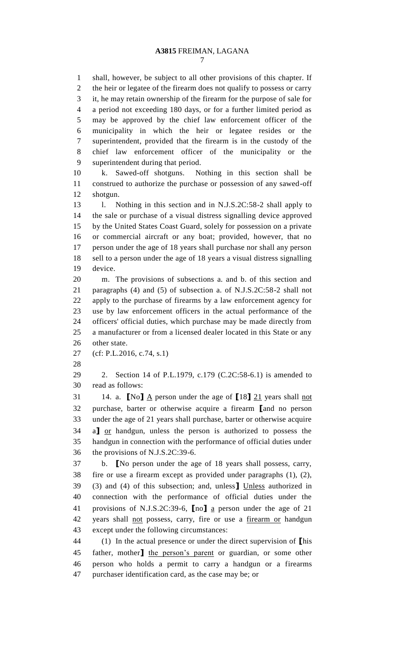shall, however, be subject to all other provisions of this chapter. If 2 the heir or legatee of the firearm does not qualify to possess or carry it, he may retain ownership of the firearm for the purpose of sale for a period not exceeding 180 days, or for a further limited period as may be approved by the chief law enforcement officer of the municipality in which the heir or legatee resides or the superintendent, provided that the firearm is in the custody of the chief law enforcement officer of the municipality or the superintendent during that period.

 k. Sawed-off shotguns. Nothing in this section shall be construed to authorize the purchase or possession of any sawed-off shotgun.

 l. Nothing in this section and in N.J.S.2C:58-2 shall apply to the sale or purchase of a visual distress signalling device approved by the United States Coast Guard, solely for possession on a private or commercial aircraft or any boat; provided, however, that no person under the age of 18 years shall purchase nor shall any person sell to a person under the age of 18 years a visual distress signalling device.

 m. The provisions of subsections a. and b. of this section and paragraphs (4) and (5) of subsection a. of N.J.S.2C:58-2 shall not apply to the purchase of firearms by a law enforcement agency for use by law enforcement officers in the actual performance of the officers' official duties, which purchase may be made directly from a manufacturer or from a licensed dealer located in this State or any other state.

(cf: P.L.2016, c.74, s.1)

 2. Section 14 of P.L.1979, c.179 (C.2C:58-6.1) is amended to read as follows:

 14. a. **[**No**]** A person under the age of **[**18**]** 21 years shall not purchase, barter or otherwise acquire a firearm **[**and no person under the age of 21 years shall purchase, barter or otherwise acquire a**]** or handgun, unless the person is authorized to possess the handgun in connection with the performance of official duties under the provisions of N.J.S.2C:39-6.

 b. **[**No person under the age of 18 years shall possess, carry, fire or use a firearm except as provided under paragraphs (1), (2), (3) and (4) of this subsection; and, unless**]** Unless authorized in connection with the performance of official duties under the provisions of N.J.S.2C:39-6, **[**no**]** a person under the age of 21 years shall not possess, carry, fire or use a firearm or handgun except under the following circumstances:

 (1) In the actual presence or under the direct supervision of **[**his father, mother**]** the person's parent or guardian, or some other person who holds a permit to carry a handgun or a firearms purchaser identification card, as the case may be; or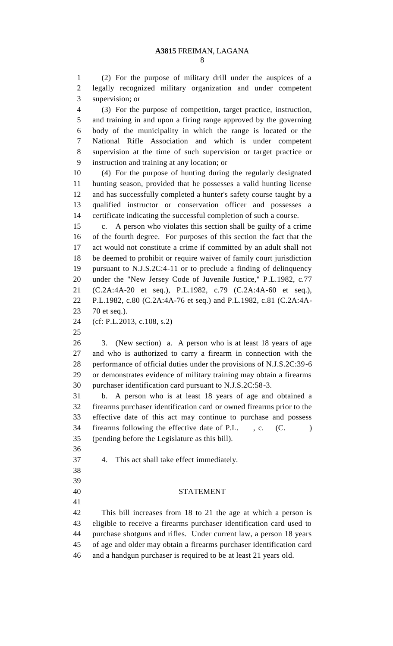(2) For the purpose of military drill under the auspices of a legally recognized military organization and under competent supervision; or

 (3) For the purpose of competition, target practice, instruction, and training in and upon a firing range approved by the governing body of the municipality in which the range is located or the National Rifle Association and which is under competent supervision at the time of such supervision or target practice or instruction and training at any location; or

 (4) For the purpose of hunting during the regularly designated hunting season, provided that he possesses a valid hunting license and has successfully completed a hunter's safety course taught by a qualified instructor or conservation officer and possesses a certificate indicating the successful completion of such a course.

 c. A person who violates this section shall be guilty of a crime of the fourth degree. For purposes of this section the fact that the act would not constitute a crime if committed by an adult shall not be deemed to prohibit or require waiver of family court jurisdiction pursuant to N.J.S.2C:4-11 or to preclude a finding of delinquency under the "New Jersey Code of Juvenile Justice," P.L.1982, c.77 (C.2A:4A-20 et seq.), P.L.1982, c.79 (C.2A:4A-60 et seq.), P.L.1982, c.80 (C.2A:4A-76 et seq.) and P.L.1982, c.81 (C.2A:4A-

- 70 et seq.).
- (cf: P.L.2013, c.108, s.2)
- 

 3. (New section) a. A person who is at least 18 years of age and who is authorized to carry a firearm in connection with the performance of official duties under the provisions of N.J.S.2C:39-6 or demonstrates evidence of military training may obtain a firearms purchaser identification card pursuant to N.J.S.2C:58-3.

 b. A person who is at least 18 years of age and obtained a firearms purchaser identification card or owned firearms prior to the effective date of this act may continue to purchase and possess 34 firearms following the effective date of P.L., c. (C.) (pending before the Legislature as this bill).

- 4. This act shall take effect immediately.
- 

- 
- 

## STATEMENT

 This bill increases from 18 to 21 the age at which a person is eligible to receive a firearms purchaser identification card used to purchase shotguns and rifles. Under current law, a person 18 years of age and older may obtain a firearms purchaser identification card and a handgun purchaser is required to be at least 21 years old.